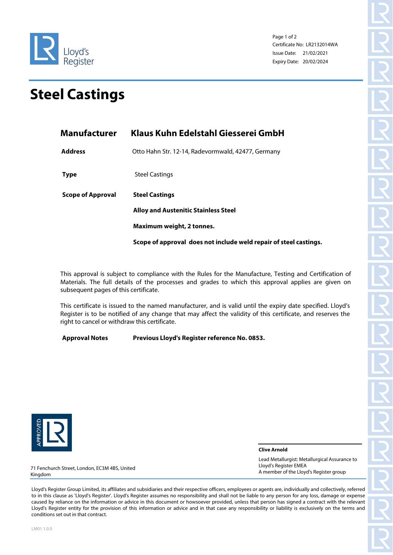

Page 1 of 2 Certificate No: LR2132014WA Issue Date: 21/02/2021 Expiry Date: 20/02/2024

## **Steel Castings**

Lloyd's Register

| <b>Manufacturer</b>      | Klaus Kuhn Edelstahl Giesserei GmbH                                  |  |  |
|--------------------------|----------------------------------------------------------------------|--|--|
| <b>Address</b>           | Otto Hahn Str. 12-14, Radevormwald, 42477, Germany                   |  |  |
| <b>Type</b>              | <b>Steel Castings</b>                                                |  |  |
| <b>Scope of Approval</b> | <b>Steel Castings</b><br><b>Alloy and Austenitic Stainless Steel</b> |  |  |
|                          |                                                                      |  |  |
|                          | Maximum weight, 2 tonnes.                                            |  |  |
|                          | Scope of approval does not include weld repair of steel castings.    |  |  |

This approval is subject to compliance with the Rules for the Manufacture, Testing and Certification of Materials. The full details of the processes and grades to which this approval applies are given on subsequent pages of this certificate.

This certificate is issued to the named manufacturer, and is valid until the expiry date specified. Lloyd's Register is to be notified of any change that may affect the validity of this certificate, and reserves the right to cancel or withdraw this certificate.

## **Approval Notes Previous Lloyd's Register reference No. 0853.**



**Clive Arnold**

71 Fenchurch Street, London, EC3M 4BS, United Kingdom

Lead Metallurgist: Metallurgical Assurance to Lloyd's Register EMEA A member of the Lloyd's Register group

Lloyd's Register Group Limited, its affiliates and subsidiaries and their respective officers, employees or agents are, individually and collectively, referred to in this clause as 'Lloyd's Register'. Lloyd's Register assumes no responsibility and shall not be liable to any person for any loss, damage or expense caused by reliance on the information or advice in this document or howsoever provided, unless that person has signed a contract with the relevant Lloyd's Register entity for the provision of this information or advice and in that case any responsibility or liability is exclusively on the terms and conditions set out in that contract.